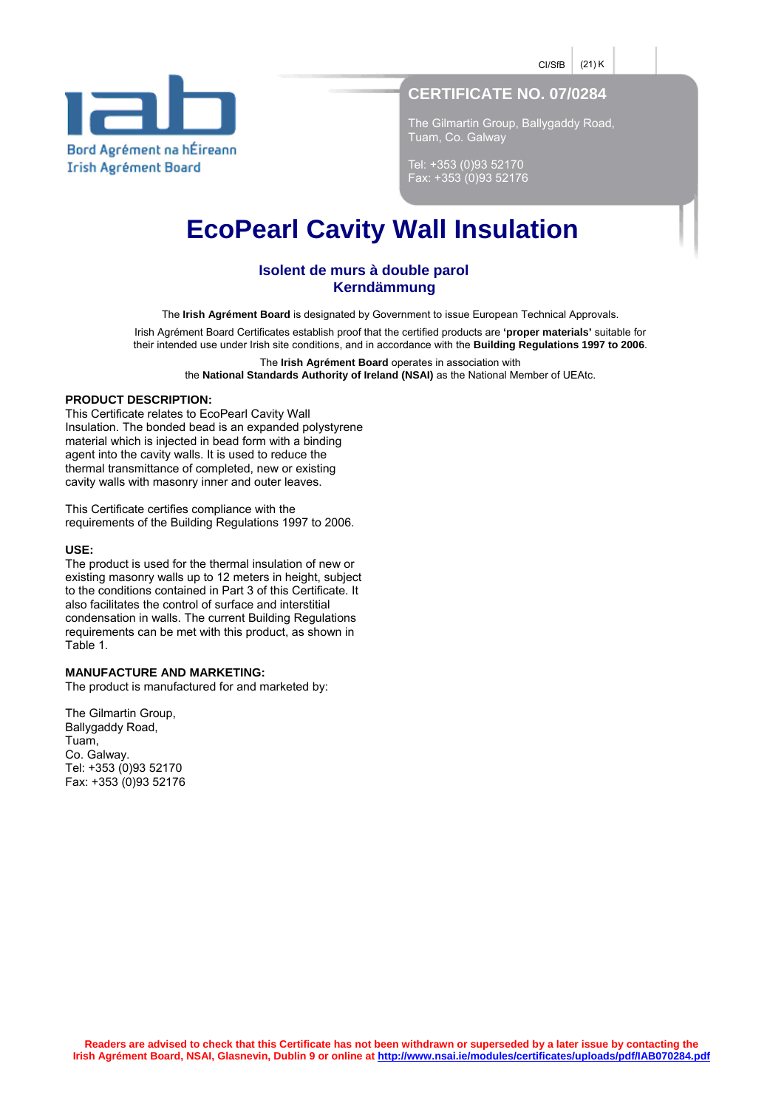$CI/SE$  (21) K



# **CERTIFICATE NO. 07/0284**

The Gilmartin Group, Ballygaddy Road, Tuam, Co. Galway

Tel: +353 (0)93 52170 Fax: +353 (0)93 52176

# **EcoPearl Cavity Wall Insulation**

## **Isolent de murs à double parol Kerndämmung**

The **Irish Agrément Board** is designated by Government to issue European Technical Approvals.

Irish Agrément Board Certificates establish proof that the certified products are **'proper materials'** suitable for their intended use under Irish site conditions, and in accordance with the **Building Regulations 1997 to 2006**.

The **Irish Agrément Board** operates in association with

the **National Standards Authority of Ireland (NSAI)** as the National Member of UEAtc.

#### **PRODUCT DESCRIPTION:**

This Certificate relates to EcoPearl Cavity Wall Insulation. The bonded bead is an expanded polystyrene material which is injected in bead form with a binding agent into the cavity walls. It is used to reduce the thermal transmittance of completed, new or existing cavity walls with masonry inner and outer leaves.

This Certificate certifies compliance with the requirements of the Building Regulations 1997 to 2006.

#### **USE:**

The product is used for the thermal insulation of new or existing masonry walls up to 12 meters in height, subject to the conditions contained in Part 3 of this Certificate. It also facilitates the control of surface and interstitial condensation in walls. The current Building Regulations requirements can be met with this product, as shown in Table 1.

#### **MANUFACTURE AND MARKETING:**

The product is manufactured for and marketed by:

The Gilmartin Group, Ballygaddy Road, Tuam, Co. Galway. Tel: +353 (0)93 52170 Fax: +353 (0)93 52176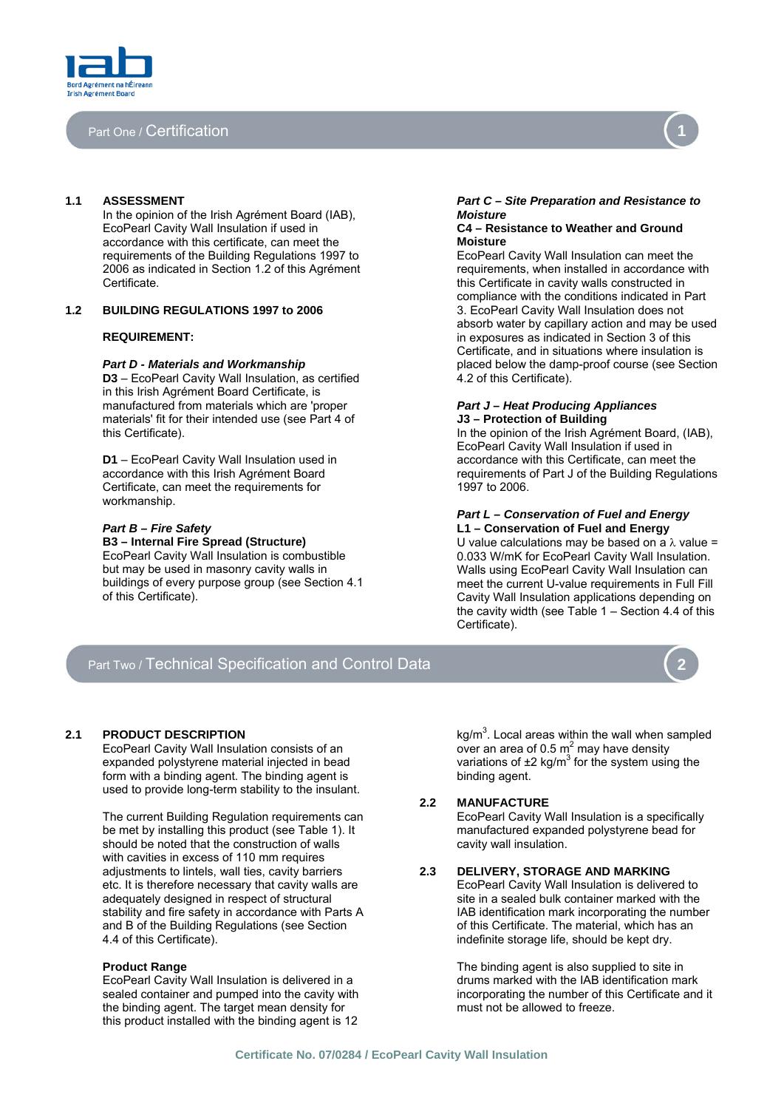

### Part One / Certification

In the opinion of the Irish Agrément Board (IAB), *Moisture*  EcoPearl Cavity Wall Insulation if used in accordance with this certificate, can meet the requirements of the Building Regulations 1997 to 2006 as indicated in Section 1.2 of this Agrément Certificate.

#### **1.2 BUILDING REGULATIONS 1997 to 2006**

#### **REQUIREMENT:**

#### *Part D - Materials and Workmanship*

**D3** – EcoPearl Cavity Wall Insulation, as certified in this Irish Agrément Board Certificate, is manufactured from materials which are 'proper materials' fit for their intended use (see Part 4 of this Certificate).

**D1** – EcoPearl Cavity Wall Insulation used in accordance with this Irish Agrément Board Certificate, can meet the requirements for workmanship.

EcoPearl Cavity Wall Insulation is combustible but may be used in masonry cavity walls in buildings of every purpose group (see Section 4.1 of this Certificate).

# **1.1 ASSESSMENT** *Part C – Site Preparation and Resistance to*

#### **C4 – Resistance to Weather and Ground Moisture**

EcoPearl Cavity Wall Insulation can meet the requirements, when installed in accordance with this Certificate in cavity walls constructed in compliance with the conditions indicated in Part 3. EcoPearl Cavity Wall Insulation does not absorb water by capillary action and may be used in exposures as indicated in Section 3 of this Certificate, and in situations where insulation is placed below the damp-proof course (see Section 4.2 of this Certificate).

#### *Part J – Heat Producing Appliances*  **J3 – Protection of Building**

In the opinion of the Irish Agrément Board, (IAB), EcoPearl Cavity Wall Insulation if used in accordance with this Certificate, can meet the requirements of Part J of the Building Regulations 1997 to 2006.

# *Part L – Conservation of Fuel and Energy Part B – Fire Safety* **L1 – Conservation of Fuel and Energy**

**U** value calculations may be based on a  $λ$  value = 0.033 W/mK for EcoPearl Cavity Wall Insulation. Walls using EcoPearl Cavity Wall Insulation can meet the current U-value requirements in Full Fill Cavity Wall Insulation applications depending on the cavity width (see Table 1 – Section 4.4 of this Certificate).

# Part Two / Technical Specification and Control Data

#### **2.1 PRODUCT DESCRIPTION**

EcoPearl Cavity Wall Insulation consists of an expanded polystyrene material injected in bead form with a binding agent. The binding agent is used to provide long-term stability to the insulant.

The current Building Regulation requirements can be met by installing this product (see Table 1). It should be noted that the construction of walls with cavities in excess of 110 mm requires adjustments to lintels, wall ties, cavity barriers etc. It is therefore necessary that cavity walls are adequately designed in respect of structural stability and fire safety in accordance with Parts A and B of the Building Regulations (see Section 4.4 of this Certificate).

EcoPearl Cavity Wall Insulation is delivered in a sealed container and pumped into the cavity with the binding agent. The target mean density for this product installed with the binding agent is 12

 $kg/m<sup>3</sup>$ . Local areas within the wall when sampled over an area of 0.5  $m^2$  may have density variations of  $\pm 2$  kg/m<sup>3</sup> for the system using the binding agent.

#### **2.2 MANUFACTURE**

EcoPearl Cavity Wall Insulation is a specifically manufactured expanded polystyrene bead for cavity wall insulation.

#### **2.3 DELIVERY, STORAGE AND MARKING**

EcoPearl Cavity Wall Insulation is delivered to site in a sealed bulk container marked with the IAB identification mark incorporating the number of this Certificate. The material, which has an indefinite storage life, should be kept dry.

**Product Range 2012 12 September 2013 12:30 The binding agent is also supplied to site in** drums marked with the IAB identification mark incorporating the number of this Certificate and it must not be allowed to freeze.



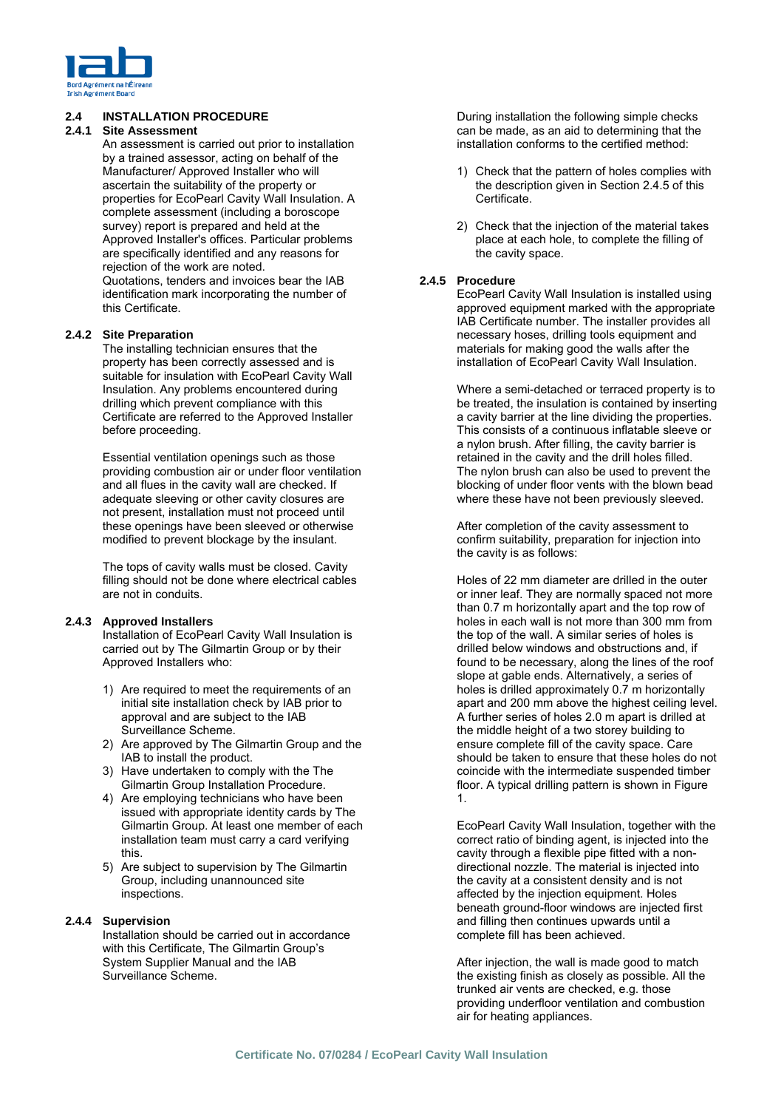

### **2.4 INSTALLATION PROCEDURE**

### **2.4.1 Site Assessment**

An assessment is carried out prior to installation by a trained assessor, acting on behalf of the Manufacturer/ Approved Installer who will ascertain the suitability of the property or properties for EcoPearl Cavity Wall Insulation. A complete assessment (including a boroscope survey) report is prepared and held at the Approved Installer's offices. Particular problems are specifically identified and any reasons for rejection of the work are noted. Quotations, tenders and invoices bear the IAB identification mark incorporating the number of this Certificate.

#### **2.4.2 Site Preparation**

The installing technician ensures that the property has been correctly assessed and is suitable for insulation with EcoPearl Cavity Wall Insulation. Any problems encountered during drilling which prevent compliance with this Certificate are referred to the Approved Installer before proceeding.

Essential ventilation openings such as those providing combustion air or under floor ventilation and all flues in the cavity wall are checked. If adequate sleeving or other cavity closures are not present, installation must not proceed until these openings have been sleeved or otherwise modified to prevent blockage by the insulant.

The tops of cavity walls must be closed. Cavity filling should not be done where electrical cables are not in conduits.

#### **2.4.3 Approved Installers**

Installation of EcoPearl Cavity Wall Insulation is carried out by The Gilmartin Group or by their Approved Installers who:

- 1) Are required to meet the requirements of an initial site installation check by IAB prior to approval and are subject to the IAB Surveillance Scheme.
- 2) Are approved by The Gilmartin Group and the IAB to install the product.
- 3) Have undertaken to comply with the The Gilmartin Group Installation Procedure.
- 4) Are employing technicians who have been issued with appropriate identity cards by The Gilmartin Group. At least one member of each installation team must carry a card verifying this.
- 5) Are subject to supervision by The Gilmartin Group, including unannounced site inspections.

#### **2.4.4 Supervision**

Installation should be carried out in accordance with this Certificate, The Gilmartin Group's System Supplier Manual and the IAB Surveillance Scheme.

During installation the following simple checks can be made, as an aid to determining that the installation conforms to the certified method:

- 1) Check that the pattern of holes complies with the description given in Section 2.4.5 of this Certificate.
- 2) Check that the injection of the material takes place at each hole, to complete the filling of the cavity space.

#### **2.4.5 Procedure**

EcoPearl Cavity Wall Insulation is installed using approved equipment marked with the appropriate IAB Certificate number. The installer provides all necessary hoses, drilling tools equipment and materials for making good the walls after the installation of EcoPearl Cavity Wall Insulation.

Where a semi-detached or terraced property is to be treated, the insulation is contained by inserting a cavity barrier at the line dividing the properties. This consists of a continuous inflatable sleeve or a nylon brush. After filling, the cavity barrier is retained in the cavity and the drill holes filled. The nylon brush can also be used to prevent the blocking of under floor vents with the blown bead where these have not been previously sleeved.

After completion of the cavity assessment to confirm suitability, preparation for injection into the cavity is as follows:

Holes of 22 mm diameter are drilled in the outer or inner leaf. They are normally spaced not more than 0.7 m horizontally apart and the top row of holes in each wall is not more than 300 mm from the top of the wall. A similar series of holes is drilled below windows and obstructions and, if found to be necessary, along the lines of the roof slope at gable ends. Alternatively, a series of holes is drilled approximately 0.7 m horizontally apart and 200 mm above the highest ceiling level. A further series of holes 2.0 m apart is drilled at the middle height of a two storey building to ensure complete fill of the cavity space. Care should be taken to ensure that these holes do not coincide with the intermediate suspended timber floor. A typical drilling pattern is shown in Figure 1.

EcoPearl Cavity Wall Insulation, together with the correct ratio of binding agent, is injected into the cavity through a flexible pipe fitted with a nondirectional nozzle. The material is injected into the cavity at a consistent density and is not affected by the injection equipment. Holes beneath ground-floor windows are injected first and filling then continues upwards until a complete fill has been achieved.

After injection, the wall is made good to match the existing finish as closely as possible. All the trunked air vents are checked, e.g. those providing underfloor ventilation and combustion air for heating appliances.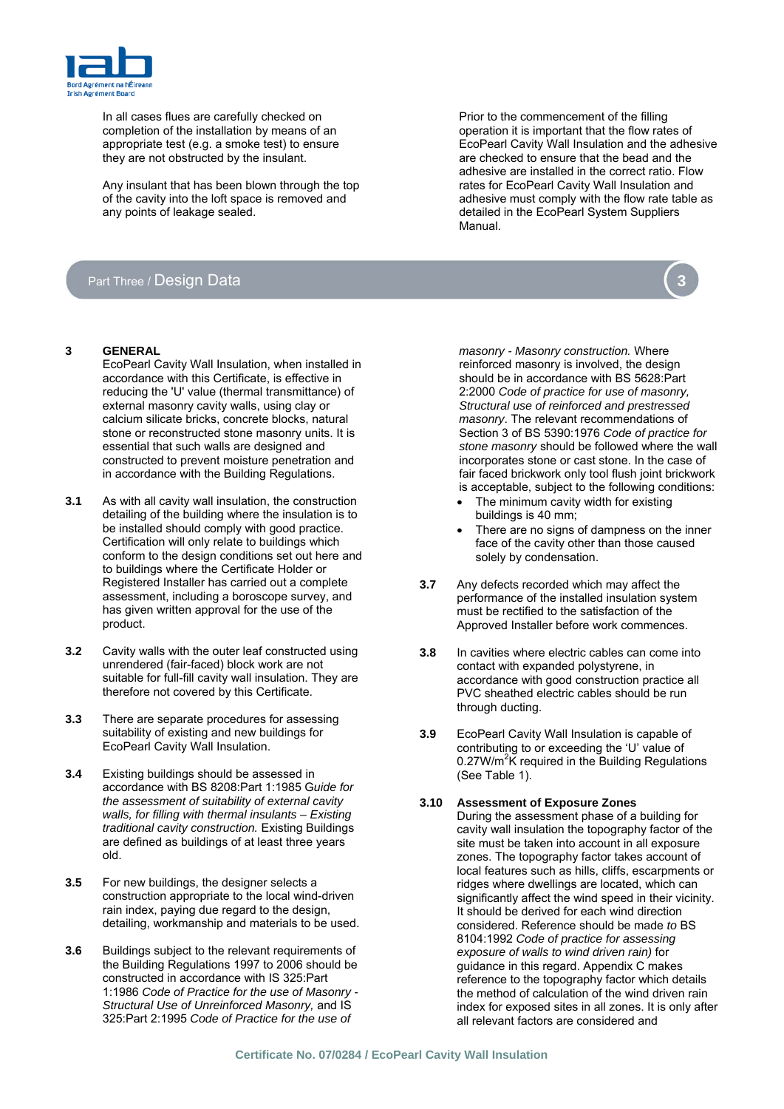

In all cases flues are carefully checked on completion of the installation by means of an appropriate test (e.g. a smoke test) to ensure they are not obstructed by the insulant.

Any insulant that has been blown through the top of the cavity into the loft space is removed and any points of leakage sealed.

## Part Three / Design Data

- - EcoPearl Cavity Wall Insulation, when installed in accordance with this Certificate, is effective in reducing the 'U' value (thermal transmittance) of external masonry cavity walls, using clay or calcium silicate bricks, concrete blocks, natural stone or reconstructed stone masonry units. It is essential that such walls are designed and constructed to prevent moisture penetration and in accordance with the Building Regulations.
- **3.1** As with all cavity wall insulation, the construction detailing of the building where the insulation is to be installed should comply with good practice. Certification will only relate to buildings which conform to the design conditions set out here and to buildings where the Certificate Holder or Registered Installer has carried out a complete assessment, including a boroscope survey, and has given written approval for the use of the product.
- **3.2** Cavity walls with the outer leaf constructed using unrendered (fair-faced) block work are not suitable for full-fill cavity wall insulation. They are therefore not covered by this Certificate.
- **3.3** There are separate procedures for assessing suitability of existing and new buildings for EcoPearl Cavity Wall Insulation.
- **3.4** Existing buildings should be assessed in (See Table 1). accordance with BS 8208:Part 1:1985 G*uide for the assessment of suitability of external cavity walls, for filling with thermal insulants – Existing traditional cavity construction.* Existing Buildings are defined as buildings of at least three years old.
- **3.5** For new buildings, the designer selects a construction appropriate to the local wind-driven rain index, paying due regard to the design, detailing, workmanship and materials to be used.
- **3.6** Buildings subject to the relevant requirements of the Building Regulations 1997 to 2006 should be constructed in accordance with IS 325:Part 1:1986 *Code of Practice for the use of Masonry - Structural Use of Unreinforced Masonry,* and IS 325:Part 2:1995 *Code of Practice for the use of*

Prior to the commencement of the filling operation it is important that the flow rates of EcoPearl Cavity Wall Insulation and the adhesive are checked to ensure that the bead and the adhesive are installed in the correct ratio. Flow rates for EcoPearl Cavity Wall Insulation and adhesive must comply with the flow rate table as detailed in the EcoPearl System Suppliers Manual.



**3 GENERAL** *masonry - Masonry construction.* Where reinforced masonry is involved, the design should be in accordance with BS 5628:Part 2:2000 *Code of practice for use of masonry, Structural use of reinforced and prestressed masonry*. The relevant recommendations of Section 3 of BS 5390:1976 *Code of practice for stone masonry* should be followed where the wall incorporates stone or cast stone. In the case of fair faced brickwork only tool flush joint brickwork is acceptable, subject to the following conditions:

- The minimum cavity width for existing buildings is 40 mm;
- There are no signs of dampness on the inner face of the cavity other than those caused solely by condensation.
- **3.7** Any defects recorded which may affect the performance of the installed insulation system must be rectified to the satisfaction of the Approved Installer before work commences.
- **3.8** In cavities where electric cables can come into contact with expanded polystyrene, in accordance with good construction practice all PVC sheathed electric cables should be run through ducting.
- **3.9** EcoPearl Cavity Wall Insulation is capable of contributing to or exceeding the 'U' value of 0.27W/m<sup>2</sup>K required in the Building Regulations

#### **3.10 Assessment of Exposure Zones**

During the assessment phase of a building for cavity wall insulation the topography factor of the site must be taken into account in all exposure zones. The topography factor takes account of local features such as hills, cliffs, escarpments or ridges where dwellings are located, which can significantly affect the wind speed in their vicinity. It should be derived for each wind direction considered. Reference should be made *to* BS 8104:1992 *Code of practice for assessing exposure of walls to wind driven rain)* for guidance in this regard. Appendix C makes reference to the topography factor which details the method of calculation of the wind driven rain index for exposed sites in all zones. It is only after all relevant factors are considered and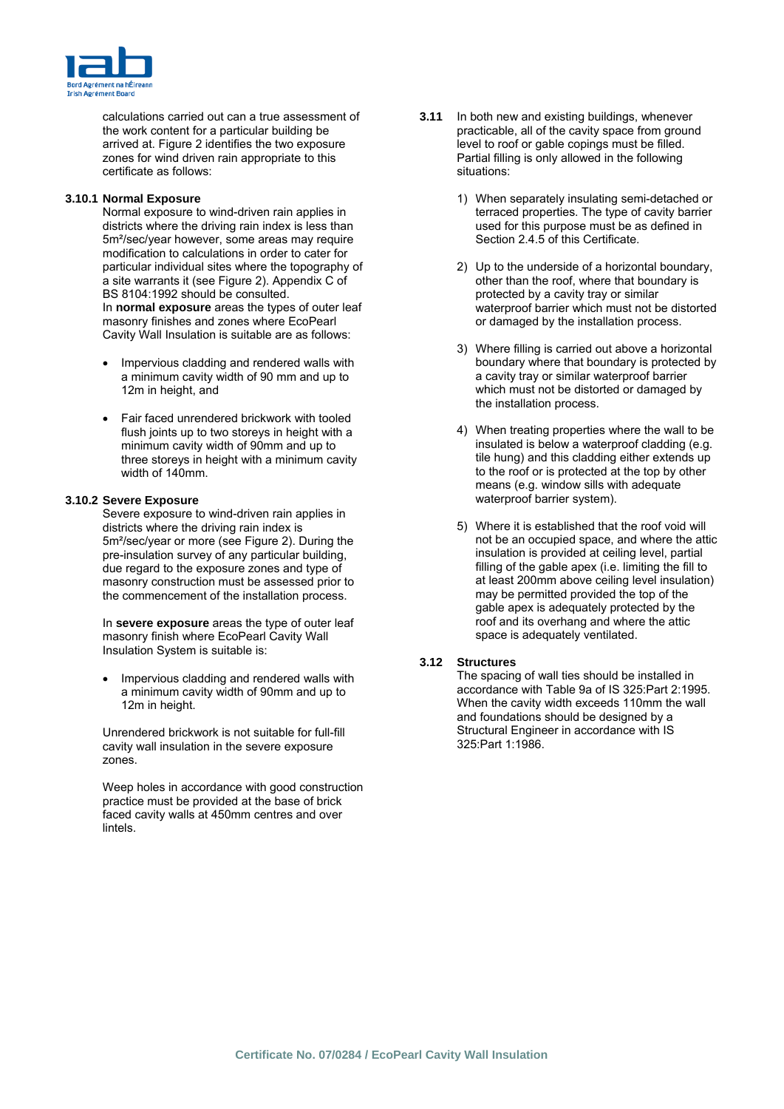

calculations carried out can a true assessment of the work content for a particular building be arrived at. Figure 2 identifies the two exposure zones for wind driven rain appropriate to this certificate as follows:

#### **3.10.1 Normal Exposure**

Normal exposure to wind-driven rain applies in districts where the driving rain index is less than 5m²/sec/year however, some areas may require modification to calculations in order to cater for particular individual sites where the topography of a site warrants it (see Figure 2). Appendix C of BS 8104:1992 should be consulted. In **normal exposure** areas the types of outer leaf masonry finishes and zones where EcoPearl Cavity Wall Insulation is suitable are as follows:

- Impervious cladding and rendered walls with a minimum cavity width of 90 mm and up to 12m in height, and
- Fair faced unrendered brickwork with tooled flush joints up to two storeys in height with a minimum cavity width of 90mm and up to three storeys in height with a minimum cavity width of 140mm.

#### **3.10.2 Severe Exposure**

Severe exposure to wind-driven rain applies in districts where the driving rain index is 5m²/sec/year or more (see Figure 2). During the pre-insulation survey of any particular building, due regard to the exposure zones and type of masonry construction must be assessed prior to the commencement of the installation process.

In **severe exposure** areas the type of outer leaf masonry finish where EcoPearl Cavity Wall Insulation System is suitable is:

• Impervious cladding and rendered walls with a minimum cavity width of 90mm and up to 12m in height.

Unrendered brickwork is not suitable for full-fill cavity wall insulation in the severe exposure zones.

Weep holes in accordance with good construction practice must be provided at the base of brick faced cavity walls at 450mm centres and over lintels.

- **3.11** In both new and existing buildings, whenever practicable, all of the cavity space from ground level to roof or gable copings must be filled. Partial filling is only allowed in the following situations:
	- 1) When separately insulating semi-detached or terraced properties. The type of cavity barrier used for this purpose must be as defined in Section 2.4.5 of this Certificate.
	- 2) Up to the underside of a horizontal boundary, other than the roof, where that boundary is protected by a cavity tray or similar waterproof barrier which must not be distorted or damaged by the installation process.
	- 3) Where filling is carried out above a horizontal boundary where that boundary is protected by a cavity tray or similar waterproof barrier which must not be distorted or damaged by the installation process.
	- 4) When treating properties where the wall to be insulated is below a waterproof cladding (e.g. tile hung) and this cladding either extends up to the roof or is protected at the top by other means (e.g. window sills with adequate waterproof barrier system).
	- 5) Where it is established that the roof void will not be an occupied space, and where the attic insulation is provided at ceiling level, partial filling of the gable apex (i.e. limiting the fill to at least 200mm above ceiling level insulation) may be permitted provided the top of the gable apex is adequately protected by the roof and its overhang and where the attic space is adequately ventilated.

### **3.12 Structures**

The spacing of wall ties should be installed in accordance with Table 9a of IS 325:Part 2:1995. When the cavity width exceeds 110mm the wall and foundations should be designed by a Structural Engineer in accordance with IS 325:Part 1:1986.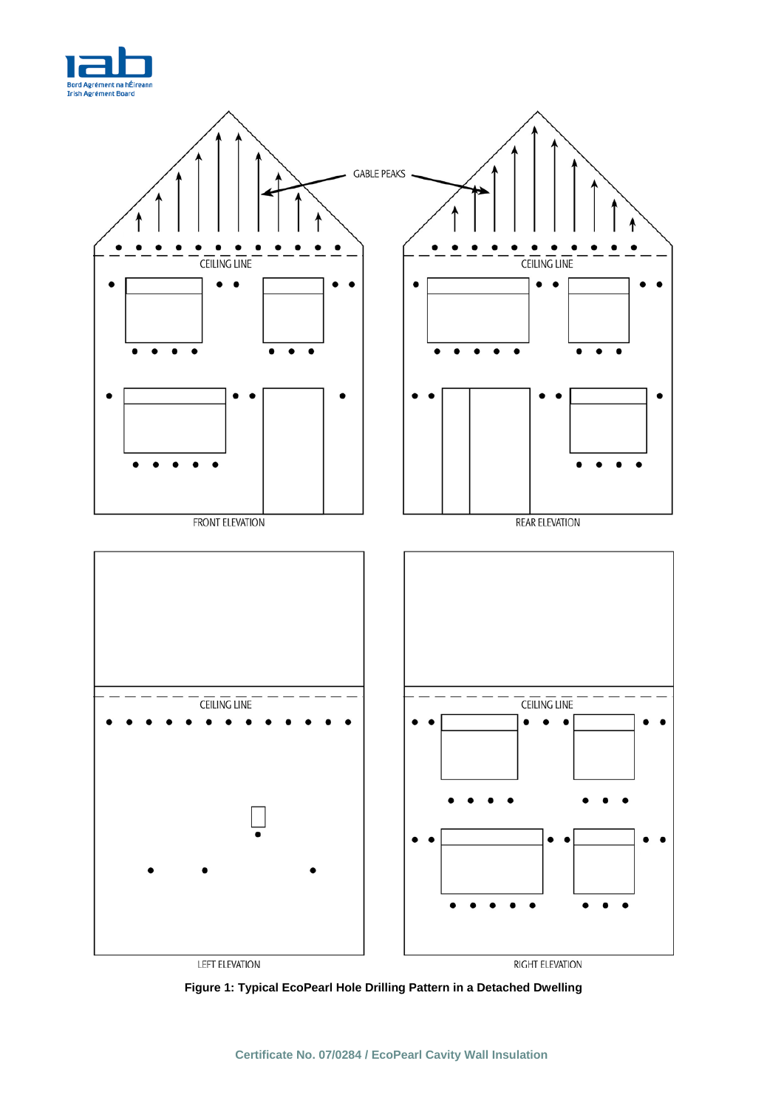



**Figure 1: Typical EcoPearl Hole Drilling Pattern in a Detached Dwelling**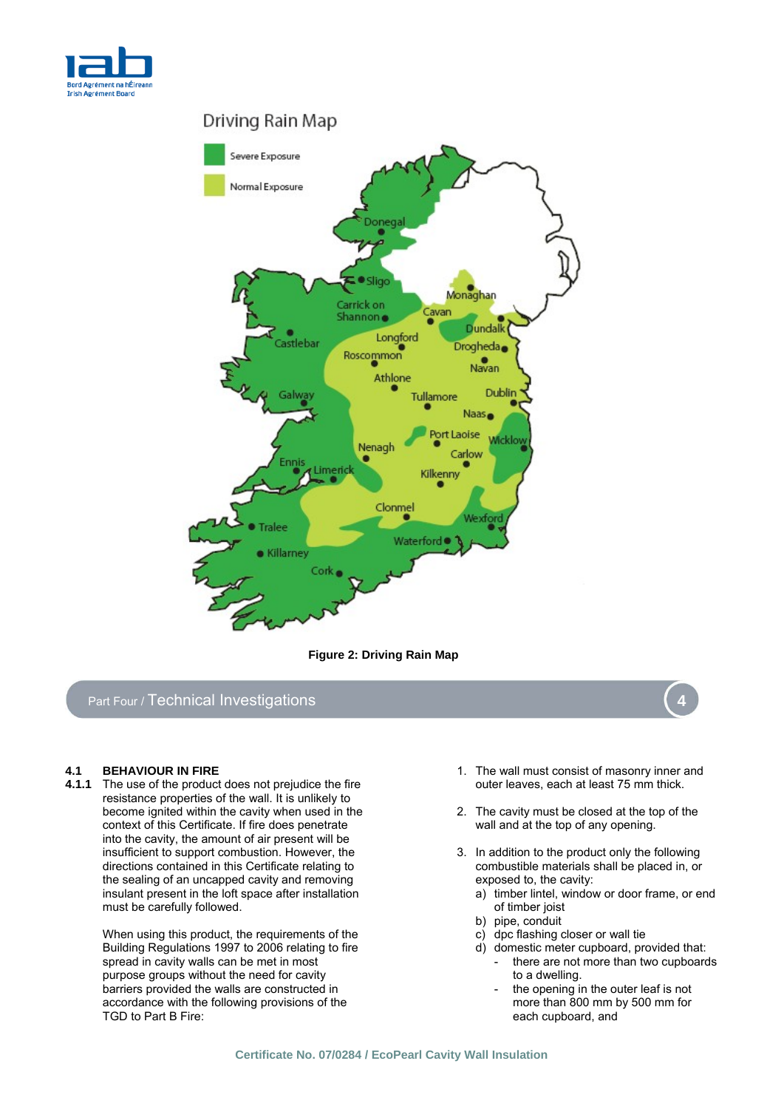





# Part Four / Technical Investigations

The use of the product does not prejudice the fire resistance properties of the wall. It is unlikely to become ignited within the cavity when used in the context of this Certificate. If fire does penetrate into the cavity, the amount of air present will be insufficient to support combustion. However, the directions contained in this Certificate relating to the sealing of an uncapped cavity and removing insulant present in the loft space after installation must be carefully followed.

> When using this product, the requirements of the Building Regulations 1997 to 2006 relating to fire spread in cavity walls can be met in most purpose groups without the need for cavity barriers provided the walls are constructed in accordance with the following provisions of the TGD to Part B Fire:

- **4.1 BEHAVIOUR IN FIRE 1.1 BEHAVIOUR IN FIRE 1.1 The wall must consist of masonry inner and <b>4.1.1** The use of the product does not prejudice the fire **1.1.1** The use of the product does not prejudice the fire **1.1.1**
	- 2. The cavity must be closed at the top of the wall and at the top of any opening.
	- 3. In addition to the product only the following combustible materials shall be placed in, or exposed to, the cavity:
		- a) timber lintel, window or door frame, or end of timber joist
		- b) pipe, conduit
		- c) dpc flashing closer or wall tie
		- d) domestic meter cupboard, provided that: there are not more than two cupboards to a dwelling.
			- the opening in the outer leaf is not more than 800 mm by 500 mm for each cupboard, and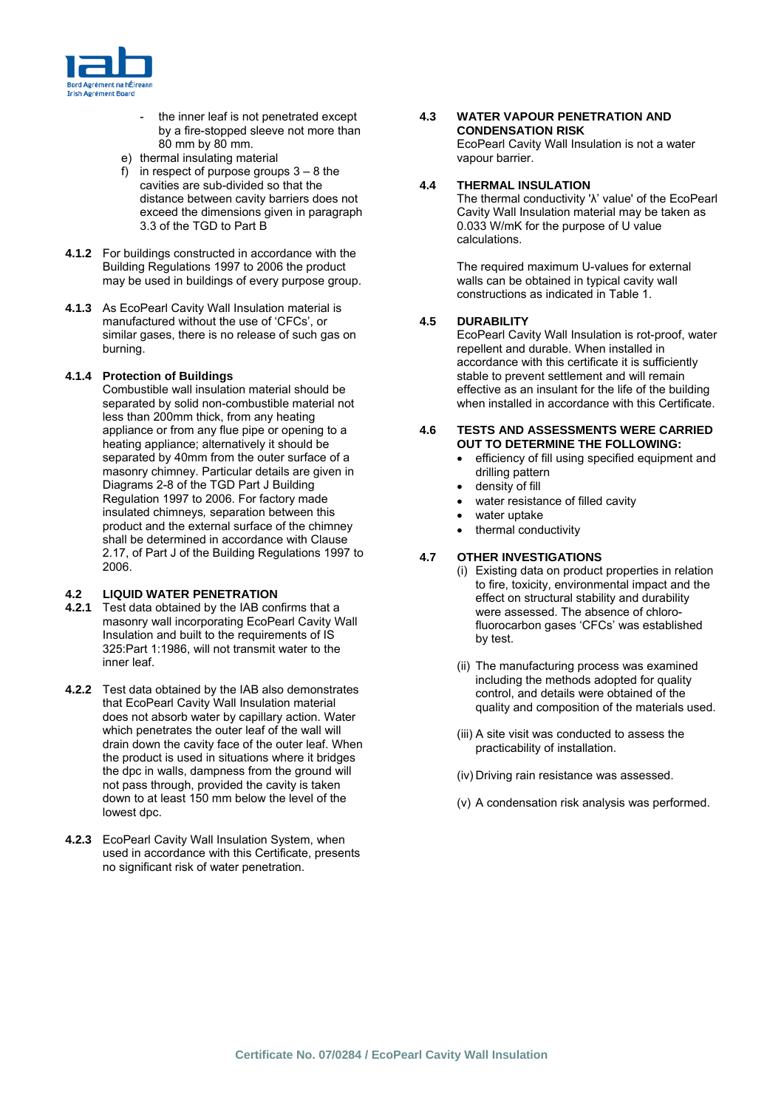

- the inner leaf is not penetrated except by a fire-stopped sleeve not more than 80 mm by 80 mm.
- e) thermal insulating material
- f) in respect of purpose groups  $3 8$  the cavities are sub-divided so that the distance between cavity barriers does not exceed the dimensions given in paragraph 3.3 of the TGD to Part B
- **4.1.2** For buildings constructed in accordance with the Building Regulations 1997 to 2006 the product may be used in buildings of every purpose group.
- **4.1.3** As EcoPearl Cavity Wall Insulation material is manufactured without the use of 'CFCs', or similar gases, there is no release of such gas on burning.

#### **4.1.4 Protection of Buildings**

Combustible wall insulation material should be separated by solid non-combustible material not less than 200mm thick, from any heating appliance or from any flue pipe or opening to a heating appliance; alternatively it should be separated by 40mm from the outer surface of a masonry chimney. Particular details are given in Diagrams 2-8 of the TGD Part J Building Regulation 1997 to 2006. For factory made insulated chimneys*,* separation between this product and the external surface of the chimney shall be determined in accordance with Clause 2.17, of Part J of the Building Regulations 1997 to 2006.

#### **4.2 LIQUID WATER PENETRATION**

- **4.2.1** Test data obtained by the IAB confirms that a masonry wall incorporating EcoPearl Cavity Wall Insulation and built to the requirements of IS 325:Part 1:1986, will not transmit water to the inner leaf.
- **4.2.2** Test data obtained by the IAB also demonstrates that EcoPearl Cavity Wall Insulation material does not absorb water by capillary action. Water which penetrates the outer leaf of the wall will drain down the cavity face of the outer leaf. When the product is used in situations where it bridges the dpc in walls, dampness from the ground will not pass through, provided the cavity is taken down to at least 150 mm below the level of the lowest dpc.
- **4.2.3** EcoPearl Cavity Wall Insulation System, when used in accordance with this Certificate, presents no significant risk of water penetration.

#### **4.3 WATER VAPOUR PENETRATION AND CONDENSATION RISK**  EcoPearl Cavity Wall Insulation is not a water vapour barrier.

# **4.4 THERMAL INSULATION**

The thermal conductivity 'λ' value' of the EcoPearl Cavity Wall Insulation material may be taken as 0.033 W/mK for the purpose of U value calculations.

The required maximum U-values for external walls can be obtained in typical cavity wall constructions as indicated in Table 1.

#### **4.5 DURABILITY**

EcoPearl Cavity Wall Insulation is rot-proof, water repellent and durable. When installed in accordance with this certificate it is sufficiently stable to prevent settlement and will remain effective as an insulant for the life of the building when installed in accordance with this Certificate.

#### **4.6 TESTS AND ASSESSMENTS WERE CARRIED OUT TO DETERMINE THE FOLLOWING:**

- efficiency of fill using specified equipment and drilling pattern
- density of fill
- water resistance of filled cavity
- water uptake
- thermal conductivity

### **4.7 OTHER INVESTIGATIONS**

- (i) Existing data on product properties in relation to fire, toxicity, environmental impact and the effect on structural stability and durability were assessed. The absence of chlorofluorocarbon gases 'CFCs' was established by test.
- (ii) The manufacturing process was examined including the methods adopted for quality control, and details were obtained of the quality and composition of the materials used.
- (iii) A site visit was conducted to assess the practicability of installation.
- (iv) Driving rain resistance was assessed.
- (v) A condensation risk analysis was performed.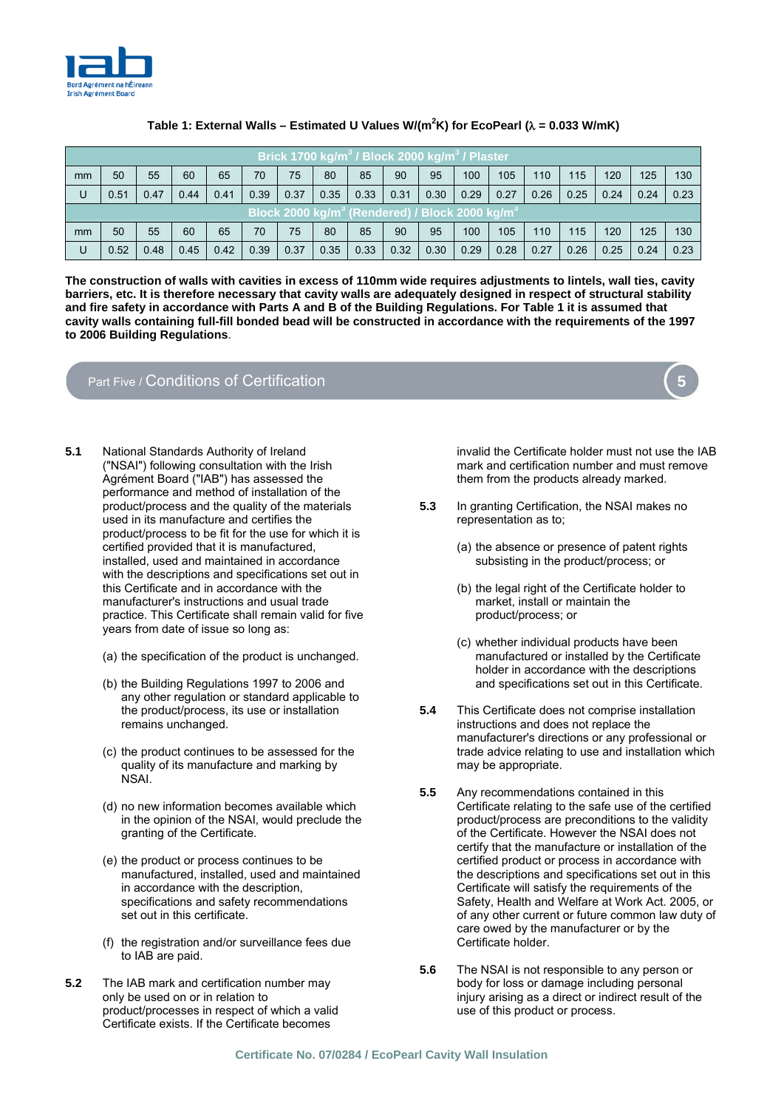

|                                                                        | Brick 1700 kg/m <sup>3</sup> / Block 2000 kg/m <sup>3</sup> / Plaster |      |      |      |      |      |      |      |      |      |      |      |      |      |      |      |      |
|------------------------------------------------------------------------|-----------------------------------------------------------------------|------|------|------|------|------|------|------|------|------|------|------|------|------|------|------|------|
| mm                                                                     | 50                                                                    | 55   | 60   | 65   | 70   | 75   | 80   | 85   | 90   | 95   | 100  | 105  | 110  | 115  | 120  | 125  | 130  |
| U                                                                      | 0.51                                                                  | 0.47 | 0.44 | 0.41 | 0.39 | 0.37 | 0.35 | 0.33 | 0.31 | 0.30 | 0.29 | 0.27 | 0.26 | 0.25 | 0.24 | 0.24 | 0.23 |
| Block 2000 kg/m <sup>3</sup> (Rendered) / Block 2000 kg/m <sup>3</sup> |                                                                       |      |      |      |      |      |      |      |      |      |      |      |      |      |      |      |      |
| mm                                                                     | 50                                                                    | 55   | 60   | 65   | 70   | 75   | 80   | 85   | 90   | 95   | 100  | 105  | 110  | 115  | 120  | 125  | 130  |
| U                                                                      | 0.52                                                                  | 0.48 | 0.45 | 0.42 | 0.39 | 0.37 | 0.35 | 0.33 | 0.32 | 0.30 | 0.29 | 0.28 | 0.27 | 0.26 | 0.25 | 0.24 | 0.23 |

#### **Table 1: External Walls – Estimated U Values W/(m2 K) for EcoPearl (**λ **= 0.033 W/mK)**

**The construction of walls with cavities in excess of 110mm wide requires adjustments to lintels, wall ties, cavity barriers, etc. It is therefore necessary that cavity walls are adequately designed in respect of structural stability and fire safety in accordance with Parts A and B of the Building Regulations. For Table 1 it is assumed that cavity walls containing full-fill bonded bead will be constructed in accordance with the requirements of the 1997 to 2006 Building Regulations**.

## Part Five / Conditions of Certification

- **5.1** National Standards Authority of Ireland ("NSAI") following consultation with the Irish Agrément Board ("IAB") has assessed the performance and method of installation of the product/process and the quality of the materials used in its manufacture and certifies the product/process to be fit for the use for which it is certified provided that it is manufactured, installed, used and maintained in accordance with the descriptions and specifications set out in this Certificate and in accordance with the manufacturer's instructions and usual trade practice. This Certificate shall remain valid for five years from date of issue so long as:
	- (a) the specification of the product is unchanged.
	- (b) the Building Regulations 1997 to 2006 and any other regulation or standard applicable to the product/process, its use or installation remains unchanged.
	- (c) the product continues to be assessed for the quality of its manufacture and marking by NSAI.
	- (d) no new information becomes available which in the opinion of the NSAI, would preclude the granting of the Certificate.
	- (e) the product or process continues to be manufactured, installed, used and maintained in accordance with the description, specifications and safety recommendations set out in this certificate.
	- (f) the registration and/or surveillance fees due to IAB are paid.
- **5.2** The IAB mark and certification number may only be used on or in relation to product/processes in respect of which a valid Certificate exists. If the Certificate becomes

invalid the Certificate holder must not use the IAB mark and certification number and must remove them from the products already marked.

- **5.3** In granting Certification, the NSAI makes no representation as to;
	- (a) the absence or presence of patent rights subsisting in the product/process; or
	- (b) the legal right of the Certificate holder to market, install or maintain the product/process; or
	- (c) whether individual products have been manufactured or installed by the Certificate holder in accordance with the descriptions and specifications set out in this Certificate.
- **5.4** This Certificate does not comprise installation instructions and does not replace the manufacturer's directions or any professional or trade advice relating to use and installation which may be appropriate.
- **5.5** Any recommendations contained in this Certificate relating to the safe use of the certified product/process are preconditions to the validity of the Certificate. However the NSAI does not certify that the manufacture or installation of the certified product or process in accordance with the descriptions and specifications set out in this Certificate will satisfy the requirements of the Safety, Health and Welfare at Work Act. 2005, or of any other current or future common law duty of care owed by the manufacturer or by the Certificate holder.
- **5.6** The NSAI is not responsible to any person or body for loss or damage including personal injury arising as a direct or indirect result of the use of this product or process.